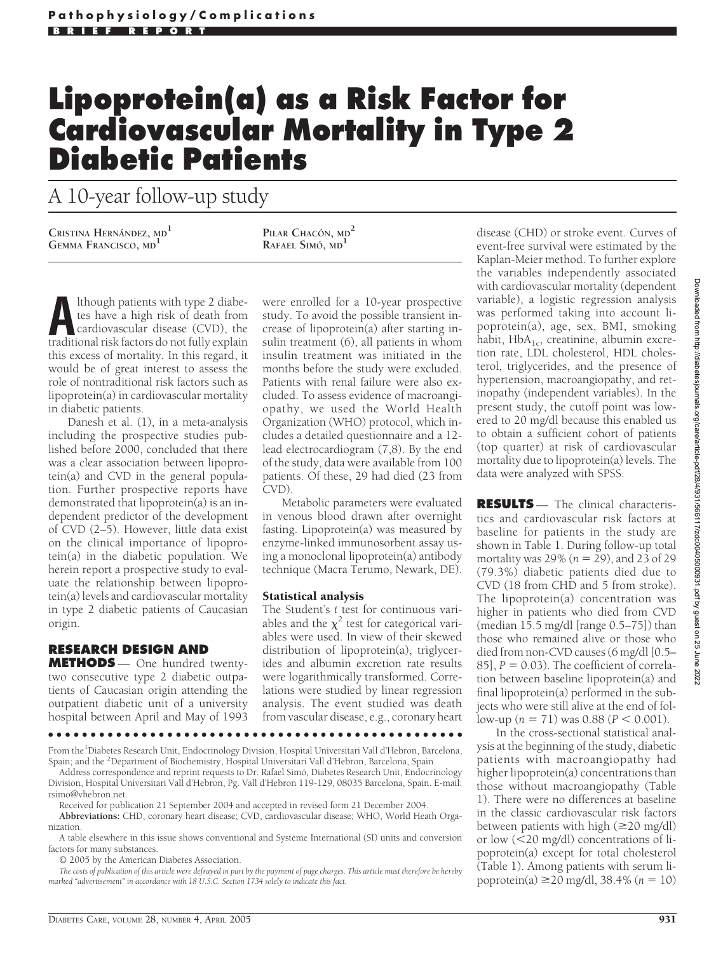## **Lipoprotein(a) as a Risk Factor for Cardiovascular Mortality in Type 2 Diabetic Patients**

A 10-year follow-up study

 $\frac{1}{2}$  **C**RISTINA **H**ERNÁNDEZ, MD<sup>1</sup> **PILAR** CHACÓN, MD<sup>2</sup>

**RAFAEL SIMO´, MD<sup>1</sup>**

**A**lthough patients with type 2 diabe-<br>tes have a high risk of death from<br>cardiovascular disease (CVD), the<br>traditional risk factors do not fully explain tes have a high risk of death from traditional risk factors do not fully explain this excess of mortality. In this regard, it would be of great interest to assess the role of nontraditional risk factors such as lipoprotein(a) in cardiovascular mortality in diabetic patients.

Danesh et al. (1), in a meta-analysis including the prospective studies published before 2000, concluded that there was a clear association between lipoprotein(a) and CVD in the general population. Further prospective reports have demonstrated that lipoprotein(a) is an independent predictor of the development of CVD (2–5). However, little data exist on the clinical importance of lipoprotein(a) in the diabetic population. We herein report a prospective study to evaluate the relationship between lipoprotein(a) levels and cardiovascular mortality in type 2 diabetic patients of Caucasian origin.

## **RESEARCH DESIGN AND**

**METHODS** — One hundred twentytwo consecutive type 2 diabetic outpatients of Caucasian origin attending the outpatient diabetic unit of a university hospital between April and May of 1993

were enrolled for a 10-year prospective study. To avoid the possible transient increase of lipoprotein(a) after starting insulin treatment (6), all patients in whom insulin treatment was initiated in the months before the study were excluded. Patients with renal failure were also excluded. To assess evidence of macroangiopathy, we used the World Health Organization (WHO) protocol, which includes a detailed questionnaire and a 12 lead electrocardiogram (7,8). By the end of the study, data were available from 100 patients. Of these, 29 had died (23 from CVD).

Metabolic parameters were evaluated in venous blood drawn after overnight fasting. Lipoprotein(a) was measured by enzyme-linked immunosorbent assay using a monoclonal lipoprotein(a) antibody technique (Macra Terumo, Newark, DE).

## Statistical analysis

The Student's *t* test for continuous variables and the  $\chi^2$  test for categorical variables were used. In view of their skewed distribution of lipoprotein(a), triglycerides and albumin excretion rate results were logarithmically transformed. Correlations were studied by linear regression analysis. The event studied was death from vascular disease, e.g., coronary heart

●●●●●●●●●●●●●●●●●●●●●●●●●●●●●●●●●●●●●●●●●●●●●●●●●

From the<sup>1</sup>Diabetes Research Unit, Endocrinology Division, Hospital Universitari Vall d'Hebron, Barcelona, Spain; and the <sup>2</sup>Department of Biochemistry, Hospital Universitari Vall d'Hebron, Barcelona, Spain.

Address correspondence and reprint requests to Dr. Rafael Simo´, Diabetes Research Unit, Endocrinology Division, Hospital Universitari Vall d'Hebron, Pg. Vall d'Hebron 119-129, 08035 Barcelona, Spain. E-mail: rsimo@vhebron.net.

Received for publication 21 September 2004 and accepted in revised form 21 December 2004.

**Abbreviations:** CHD, coronary heart disease; CVD, cardiovascular disease; WHO, World Heath Organization.

A table elsewhere in this issue shows conventional and Système International (SI) units and conversion factors for many substances.

© 2005 by the American Diabetes Association.

*The costs of publication of this article were defrayed in part by the payment of page charges. This article must therefore be hereby marked "advertisement" in accordance with 18 U.S.C. Section 1734 solely to indicate this fact.*

disease (CHD) or stroke event. Curves of event-free survival were estimated by the Kaplan-Meier method. To further explore the variables independently associated with cardiovascular mortality (dependent variable), a logistic regression analysis was performed taking into account lipoprotein(a), age, sex, BMI, smoking habit,  $HbA_{1c}$ , creatinine, albumin excretion rate, LDL cholesterol, HDL cholesterol, triglycerides, and the presence of hypertension, macroangiopathy, and retinopathy (independent variables). In the present study, the cutoff point was lowered to 20 mg/dl because this enabled us to obtain a sufficient cohort of patients (top quarter) at risk of cardiovascular mortality due to lipoprotein(a) levels. The data were analyzed with SPSS.

**RESULTS** — The clinical characteristics and cardiovascular risk factors at baseline for patients in the study are shown in Table 1. During follow-up total mortality was 29% (*n* = 29), and 23 of 29 (79.3%) diabetic patients died due to CVD (18 from CHD and 5 from stroke). The lipoprotein(a) concentration was higher in patients who died from CVD (median 15.5 mg/dl [range 0.5–75]) than those who remained alive or those who died from non-CVD causes (6 mg/dl [0.5–  $85$ ],  $P = 0.03$ ). The coefficient of correlation between baseline lipoprotein(a) and final lipoprotein(a) performed in the subjects who were still alive at the end of fol- $\text{low-up}$  ( $n = 71$ ) was 0.88 ( $P < 0.001$ ).

In the cross-sectional statistical analysis at the beginning of the study, diabetic patients with macroangiopathy had higher lipoprotein(a) concentrations than those without macroangiopathy (Table 1). There were no differences at baseline in the classic cardiovascular risk factors between patients with high  $(\geq 20 \text{ mg/dl})$ or low  $\left($  <20 mg/dl) concentrations of lipoprotein(a) except for total cholesterol (Table 1). Among patients with serum lipoprotein(a) 20 mg/dl, 38.4% (*n* - 10)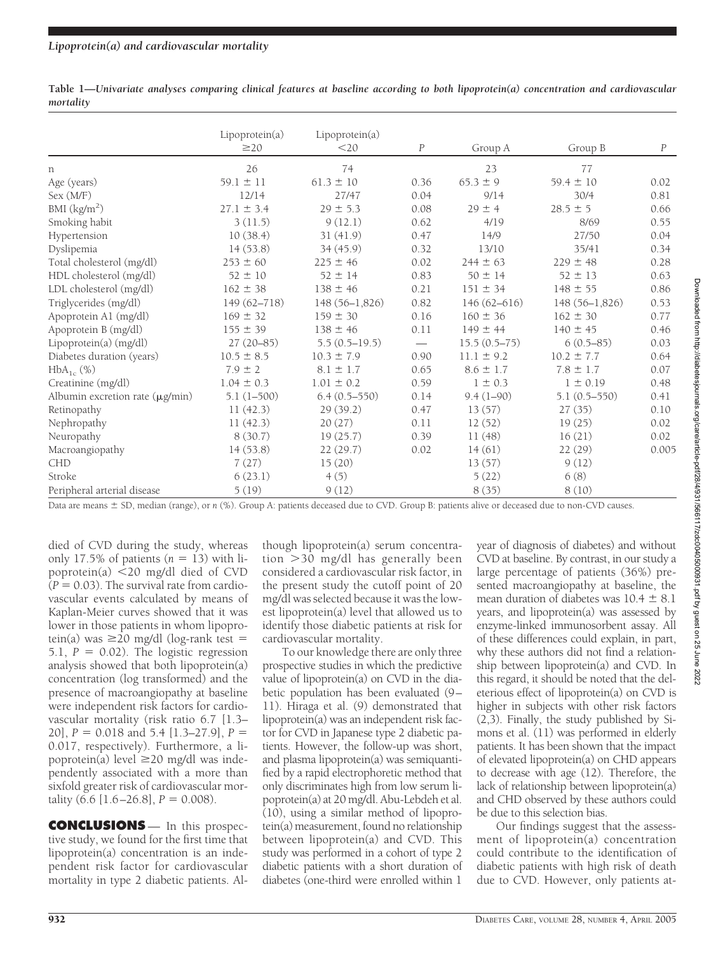|                                      | Lipoprotein(a)<br>$\geq$ 20 | Lipoprotein(a)<br>$<$ 20 | $\boldsymbol{P}$         | Group A         | Group B          | $\boldsymbol{P}$ |
|--------------------------------------|-----------------------------|--------------------------|--------------------------|-----------------|------------------|------------------|
| n                                    | 26                          | 74                       |                          | 23              | 77               |                  |
| Age (years)                          | $59.1 \pm 11$               | $61.3 \pm 10$            | 0.36                     | $65.3 \pm 9$    | $59.4 \pm 10$    | 0.02             |
| Sex (M/F)                            | 12/14                       | 27/47                    | 0.04                     | 9/14            | 30/4             | 0.81             |
| BMI $\frac{\text{kg}}{m^2}$          | $27.1 \pm 3.4$              | $29 \pm 5.3$             | 0.08                     | $29 \pm 4$      | $28.5 \pm 5$     | 0.66             |
| Smoking habit                        | 3(11.5)                     | 9(12.1)                  | 0.62                     | 4/19            | 8/69             | 0.55             |
| Hypertension                         | 10(38.4)                    | 31(41.9)                 | 0.47                     | 14/9            | 27/50            | 0.04             |
| Dyslipemia                           | 14(53.8)                    | 34(45.9)                 | 0.32                     | 13/10           | 35/41            | 0.34             |
| Total cholesterol (mg/dl)            | $253 \pm 60$                | $225 \pm 46$             | 0.02                     | $244 \pm 63$    | $229 \pm 48$     | 0.28             |
| HDL cholesterol (mg/dl)              | $52 \pm 10$                 | $52 \pm 14$              | 0.83                     | $50 \pm 14$     | $52 \pm 13$      | 0.63             |
| LDL cholesterol (mg/dl)              | $162 \pm 38$                | $138 \pm 46$             | 0.21                     | $151 \pm 34$    | $148 \pm 55$     | 0.86             |
| Triglycerides (mg/dl)                | $149(62 - 718)$             | $148(56-1,826)$          | 0.82                     | $146(62 - 616)$ | $148(56-1.826)$  | 0.53             |
| Apoprotein A1 (mg/dl)                | $169 \pm 32$                | $159 \pm 30$             | 0.16                     | $160 \pm 36$    | $162 \pm 30$     | 0.77             |
| Apoprotein B (mg/dl)                 | $155 \pm 39$                | $138 \pm 46$             | 0.11                     | $149 \pm 44$    | $140 \pm 45$     | 0.46             |
| Lipoprotein(a) (mg/dl)               | $27(20-85)$                 | $5.5(0.5-19.5)$          | $\overline{\phantom{m}}$ | $15.5(0.5-75)$  | $6(0.5-85)$      | 0.03             |
| Diabetes duration (years)            | $10.5 \pm 8.5$              | $10.3 \pm 7.9$           | 0.90                     | $11.1 \pm 9.2$  | $10.2 \pm 7.7$   | 0.64             |
| $HbA_{1c}$ (%)                       | $7.9 \pm 2$                 | $8.1 \pm 1.7$            | 0.65                     | $8.6 \pm 1.7$   | $7.8 \pm 1.7$    | 0.07             |
| Creatinine (mg/dl)                   | $1.04 \pm 0.3$              | $1.01 \pm 0.2$           | 0.59                     | $1 \pm 0.3$     | $1 \pm 0.19$     | 0.48             |
| Albumin excretion rate $(\mu g/min)$ | $5.1(1-500)$                | $6.4(0.5-550)$           | 0.14                     | $9.4(1-90)$     | $5.1(0.5 - 550)$ | 0.41             |
| Retinopathy                          | 11(42.3)                    | 29(39.2)                 | 0.47                     | 13(57)          | 27(35)           | 0.10             |
| Nephropathy                          | 11(42.3)                    | 20(27)                   | 0.11                     | 12(52)          | 19(25)           | 0.02             |
| Neuropathy                           | 8(30.7)                     | 19(25.7)                 | 0.39                     | 11 (48)         | 16(21)           | 0.02             |
| Macroangiopathy                      | 14(53.8)                    | 22(29.7)                 | 0.02                     | 14(61)          | 22 (29)          | 0.005            |
| CHD                                  | 7(27)                       | 15(20)                   |                          | 13(57)          | 9(12)            |                  |
| Stroke                               | 6(23.1)                     | 4(5)                     |                          | 5(22)           | 6(8)             |                  |
| Peripheral arterial disease          | 5(19)                       | 9(12)                    |                          | 8(35)           | 8(10)            |                  |

**Table 1—***Univariate analyses comparing clinical features at baseline according to both lipoprotein(a) concentration and cardiovascular mortality*

Data are means  $\pm$  SD, median (range), or *n* (%). Group A: patients deceased due to CVD. Group B: patients alive or deceased due to non-CVD causes.

died of CVD during the study, whereas only 17.5% of patients  $(n = 13)$  with lipoprotein(a)  $\leq$  20 mg/dl died of CVD  $(P = 0.03)$ . The survival rate from cardiovascular events calculated by means of Kaplan-Meier curves showed that it was lower in those patients in whom lipoprotein(a) was  $\geq$ 20 mg/dl (log-rank test =  $5.1, P = 0.02$ ). The logistic regression analysis showed that both lipoprotein(a) concentration (log transformed) and the presence of macroangiopathy at baseline were independent risk factors for cardiovascular mortality (risk ratio 6.7 [1.3– 20], *P* - 0.018 and 5.4 [1.3–27.9], *P* - 0.017, respectively). Furthermore, a lipoprotein(a) level  $\geq$ 20 mg/dl was independently associated with a more than sixfold greater risk of cardiovascular mortality  $(6.6 [1.6–26.8], P = 0.008)$ .

**CONCLUSIONS** — In this prospective study, we found for the first time that lipoprotein(a) concentration is an independent risk factor for cardiovascular mortality in type 2 diabetic patients. Although lipoprotein(a) serum concentration 30 mg/dl has generally been considered a cardiovascular risk factor, in the present study the cutoff point of 20 mg/dl was selected because it was the lowest lipoprotein(a) level that allowed us to identify those diabetic patients at risk for cardiovascular mortality.

To our knowledge there are only three prospective studies in which the predictive value of lipoprotein(a) on CVD in the diabetic population has been evaluated (9– 11). Hiraga et al. (9) demonstrated that lipoprotein(a) was an independent risk factor for CVD in Japanese type 2 diabetic patients. However, the follow-up was short, and plasma lipoprotein(a) was semiquantified by a rapid electrophoretic method that only discriminates high from low serum lipoprotein(a) at 20 mg/dl. Abu-Lebdeh et al. (10), using a similar method of lipoprotein(a) measurement, found no relationship between lipoprotein(a) and CVD. This study was performed in a cohort of type 2 diabetic patients with a short duration of diabetes (one-third were enrolled within 1

year of diagnosis of diabetes) and without CVD at baseline. By contrast, in our study a large percentage of patients (36%) presented macroangiopathy at baseline, the mean duration of diabetes was  $10.4 \pm 8.1$ years, and lipoprotein(a) was assessed by enzyme-linked immunosorbent assay. All of these differences could explain, in part, why these authors did not find a relationship between lipoprotein(a) and CVD. In this regard, it should be noted that the deleterious effect of lipoprotein(a) on CVD is higher in subjects with other risk factors (2,3). Finally, the study published by Simons et al. (11) was performed in elderly patients. It has been shown that the impact of elevated lipoprotein(a) on CHD appears to decrease with age (12). Therefore, the lack of relationship between lipoprotein(a) and CHD observed by these authors could be due to this selection bias.

Our findings suggest that the assessment of lipoprotein(a) concentration could contribute to the identification of diabetic patients with high risk of death due to CVD. However, only patients at